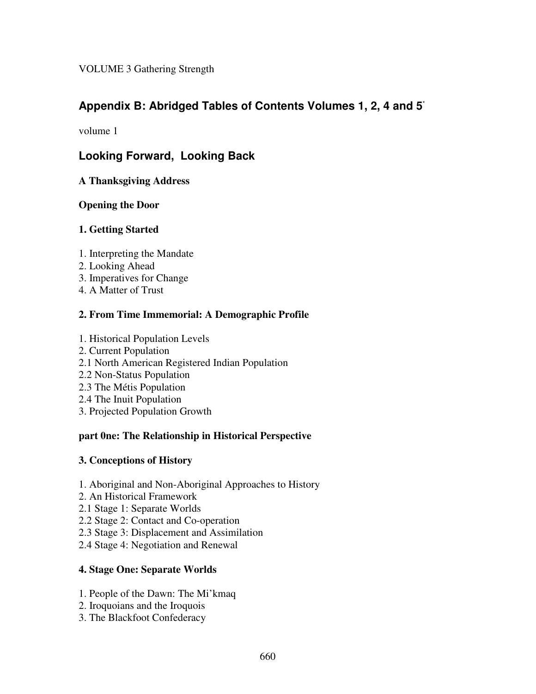VOLUME 3 Gathering Strength

# **Appendix B: Abridged Tables of Contents Volumes 1, 2, 4 and 5** \*

volume 1

# **Looking Forward, Looking Back**

**A Thanksgiving Address**

### **Opening the Door**

### **1. Getting Started**

- 1. Interpreting the Mandate
- 2. Looking Ahead
- 3. Imperatives for Change
- 4. A Matter of Trust

## **2. From Time Immemorial: A Demographic Profile**

- 1. Historical Population Levels
- 2. Current Population
- 2.1 North American Registered Indian Population
- 2.2 Non-Status Population
- 2.3 The Métis Population
- 2.4 The Inuit Population
- 3. Projected Population Growth

#### **part 0ne: The Relationship in Historical Perspective**

#### **3. Conceptions of History**

- 1. Aboriginal and Non-Aboriginal Approaches to History
- 2. An Historical Framework
- 2.1 Stage 1: Separate Worlds
- 2.2 Stage 2: Contact and Co-operation
- 2.3 Stage 3: Displacement and Assimilation
- 2.4 Stage 4: Negotiation and Renewal

## **4. Stage One: Separate Worlds**

- 1. People of the Dawn: The Mi'kmaq
- 2. Iroquoians and the Iroquois
- 3. The Blackfoot Confederacy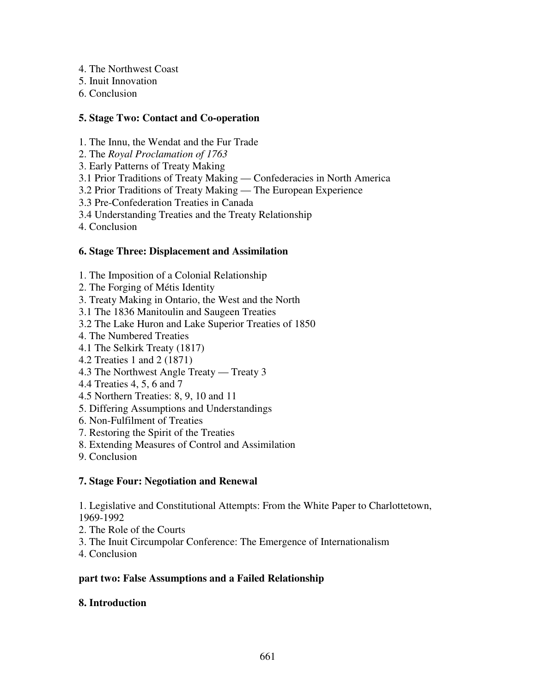- 4. The Northwest Coast
- 5. Inuit Innovation
- 6. Conclusion

## **5. Stage Two: Contact and Co-operation**

- 1. The Innu, the Wendat and the Fur Trade
- 2. The *Royal Proclamation of 1763*
- 3. Early Patterns of Treaty Making
- 3.1 Prior Traditions of Treaty Making Confederacies in North America
- 3.2 Prior Traditions of Treaty Making The European Experience
- 3.3 Pre-Confederation Treaties in Canada
- 3.4 Understanding Treaties and the Treaty Relationship
- 4. Conclusion

## **6. Stage Three: Displacement and Assimilation**

- 1. The Imposition of a Colonial Relationship
- 2. The Forging of Métis Identity
- 3. Treaty Making in Ontario, the West and the North
- 3.1 The 1836 Manitoulin and Saugeen Treaties
- 3.2 The Lake Huron and Lake Superior Treaties of 1850
- 4. The Numbered Treaties
- 4.1 The Selkirk Treaty (1817)
- 4.2 Treaties 1 and 2 (1871)
- 4.3 The Northwest Angle Treaty Treaty 3
- 4.4 Treaties 4, 5, 6 and 7
- 4.5 Northern Treaties: 8, 9, 10 and 11
- 5. Differing Assumptions and Understandings
- 6. Non-Fulfilment of Treaties
- 7. Restoring the Spirit of the Treaties
- 8. Extending Measures of Control and Assimilation
- 9. Conclusion

# **7. Stage Four: Negotiation and Renewal**

1. Legislative and Constitutional Attempts: From the White Paper to Charlottetown, 1969-1992

- 2. The Role of the Courts
- 3. The Inuit Circumpolar Conference: The Emergence of Internationalism
- 4. Conclusion

## **part two: False Assumptions and a Failed Relationship**

# **8. Introduction**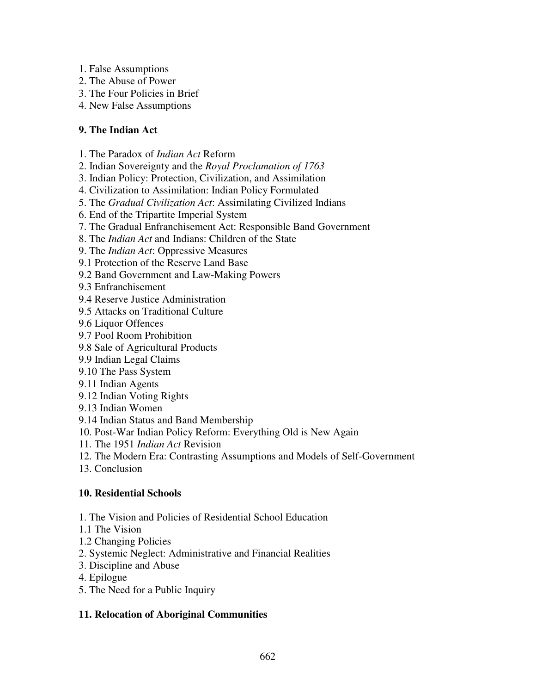- 1. False Assumptions
- 2. The Abuse of Power
- 3. The Four Policies in Brief
- 4. New False Assumptions

## **9. The Indian Act**

- 1. The Paradox of *Indian Act* Reform
- 2. Indian Sovereignty and the *Royal Proclamation of 1763*
- 3. Indian Policy: Protection, Civilization, and Assimilation
- 4. Civilization to Assimilation: Indian Policy Formulated
- 5. The *Gradual Civilization Act*: Assimilating Civilized Indians
- 6. End of the Tripartite Imperial System
- 7. The Gradual Enfranchisement Act: Responsible Band Government
- 8. The *Indian Act* and Indians: Children of the State
- 9. The *Indian Act*: Oppressive Measures
- 9.1 Protection of the Reserve Land Base
- 9.2 Band Government and Law-Making Powers
- 9.3 Enfranchisement
- 9.4 Reserve Justice Administration
- 9.5 Attacks on Traditional Culture
- 9.6 Liquor Offences
- 9.7 Pool Room Prohibition
- 9.8 Sale of Agricultural Products
- 9.9 Indian Legal Claims
- 9.10 The Pass System
- 9.11 Indian Agents
- 9.12 Indian Voting Rights
- 9.13 Indian Women
- 9.14 Indian Status and Band Membership
- 10. Post-War Indian Policy Reform: Everything Old is New Again
- 11. The 1951 *Indian Act* Revision
- 12. The Modern Era: Contrasting Assumptions and Models of Self-Government
- 13. Conclusion

# **10. Residential Schools**

- 1. The Vision and Policies of Residential School Education
- 1.1 The Vision
- 1.2 Changing Policies
- 2. Systemic Neglect: Administrative and Financial Realities
- 3. Discipline and Abuse
- 4. Epilogue
- 5. The Need for a Public Inquiry

# **11. Relocation of Aboriginal Communities**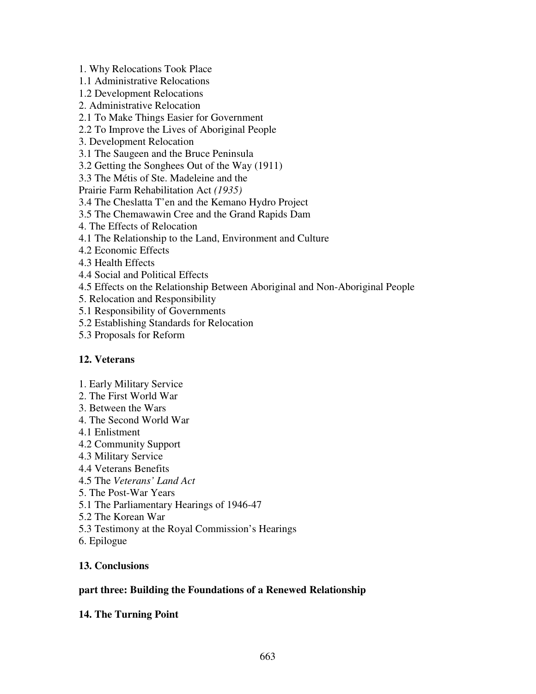1. Why Relocations Took Place

1.1 Administrative Relocations

- 1.2 Development Relocations
- 2. Administrative Relocation

## 2.1 To Make Things Easier for Government

- 2.2 To Improve the Lives of Aboriginal People
- 3. Development Relocation
- 3.1 The Saugeen and the Bruce Peninsula
- 3.2 Getting the Songhees Out of the Way (1911)
- 3.3 The Métis of Ste. Madeleine and the

Prairie Farm Rehabilitation Act *(1935)*

- 3.4 The Cheslatta T'en and the Kemano Hydro Project
- 3.5 The Chemawawin Cree and the Grand Rapids Dam
- 4. The Effects of Relocation
- 4.1 The Relationship to the Land, Environment and Culture
- 4.2 Economic Effects
- 4.3 Health Effects
- 4.4 Social and Political Effects
- 4.5 Effects on the Relationship Between Aboriginal and Non-Aboriginal People
- 5. Relocation and Responsibility
- 5.1 Responsibility of Governments
- 5.2 Establishing Standards for Relocation
- 5.3 Proposals for Reform

## **12. Veterans**

- 1. Early Military Service
- 2. The First World War
- 3. Between the Wars
- 4. The Second World War
- 4.1 Enlistment
- 4.2 Community Support
- 4.3 Military Service
- 4.4 Veterans Benefits
- 4.5 The *Veterans' Land Act*
- 5. The Post-War Years
- 5.1 The Parliamentary Hearings of 1946-47
- 5.2 The Korean War
- 5.3 Testimony at the Royal Commission's Hearings
- 6. Epilogue

## **13. Conclusions**

#### **part three: Building the Foundations of a Renewed Relationship**

#### **14. The Turning Point**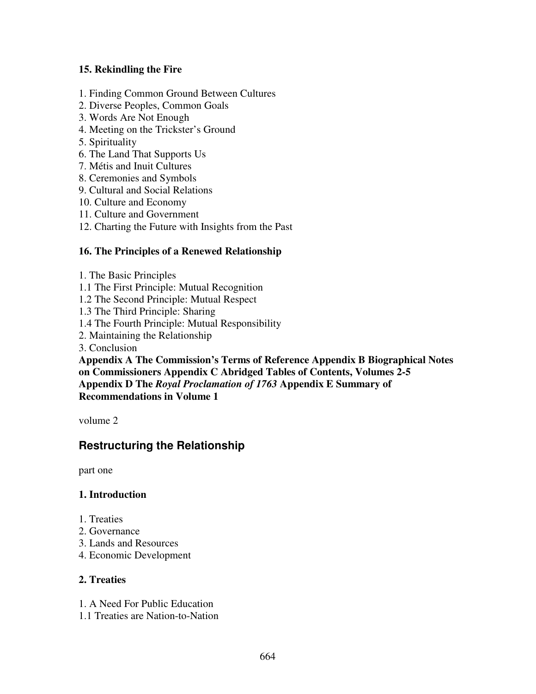## **15. Rekindling the Fire**

- 1. Finding Common Ground Between Cultures
- 2. Diverse Peoples, Common Goals
- 3. Words Are Not Enough
- 4. Meeting on the Trickster's Ground
- 5. Spirituality
- 6. The Land That Supports Us
- 7. Métis and Inuit Cultures
- 8. Ceremonies and Symbols
- 9. Cultural and Social Relations
- 10. Culture and Economy
- 11. Culture and Government
- 12. Charting the Future with Insights from the Past

## **16. The Principles of a Renewed Relationship**

- 1. The Basic Principles
- 1.1 The First Principle: Mutual Recognition
- 1.2 The Second Principle: Mutual Respect
- 1.3 The Third Principle: Sharing
- 1.4 The Fourth Principle: Mutual Responsibility
- 2. Maintaining the Relationship
- 3. Conclusion

**Appendix A The Commission's Terms of Reference Appendix B Biographical Notes on Commissioners Appendix C Abridged Tables of Contents, Volumes 2-5 Appendix D The** *Royal Proclamation of 1763* **Appendix E Summary of Recommendations in Volume 1**

volume 2

# **Restructuring the Relationship**

part one

#### **1. Introduction**

- 1. Treaties
- 2. Governance
- 3. Lands and Resources
- 4. Economic Development

### **2. Treaties**

- 1. A Need For Public Education
- 1.1 Treaties are Nation-to-Nation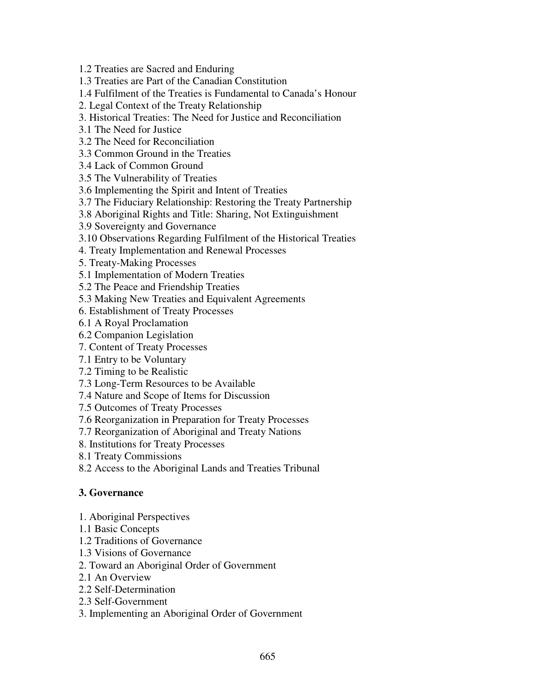1.2 Treaties are Sacred and Enduring

1.3 Treaties are Part of the Canadian Constitution

1.4 Fulfilment of the Treaties is Fundamental to Canada's Honour

2. Legal Context of the Treaty Relationship

3. Historical Treaties: The Need for Justice and Reconciliation

3.1 The Need for Justice

3.2 The Need for Reconciliation

3.3 Common Ground in the Treaties

3.4 Lack of Common Ground

3.5 The Vulnerability of Treaties

3.6 Implementing the Spirit and Intent of Treaties

3.7 The Fiduciary Relationship: Restoring the Treaty Partnership

3.8 Aboriginal Rights and Title: Sharing, Not Extinguishment

3.9 Sovereignty and Governance

3.10 Observations Regarding Fulfilment of the Historical Treaties

4. Treaty Implementation and Renewal Processes

5. Treaty-Making Processes

5.1 Implementation of Modern Treaties

5.2 The Peace and Friendship Treaties

5.3 Making New Treaties and Equivalent Agreements

6. Establishment of Treaty Processes

6.1 A Royal Proclamation

6.2 Companion Legislation

7. Content of Treaty Processes

7.1 Entry to be Voluntary

7.2 Timing to be Realistic

7.3 Long-Term Resources to be Available

7.4 Nature and Scope of Items for Discussion

7.5 Outcomes of Treaty Processes

7.6 Reorganization in Preparation for Treaty Processes

7.7 Reorganization of Aboriginal and Treaty Nations

8. Institutions for Treaty Processes

8.1 Treaty Commissions

8.2 Access to the Aboriginal Lands and Treaties Tribunal

## **3. Governance**

- 1. Aboriginal Perspectives
- 1.1 Basic Concepts
- 1.2 Traditions of Governance
- 1.3 Visions of Governance

2. Toward an Aboriginal Order of Government

2.1 An Overview

2.2 Self-Determination

2.3 Self-Government

3. Implementing an Aboriginal Order of Government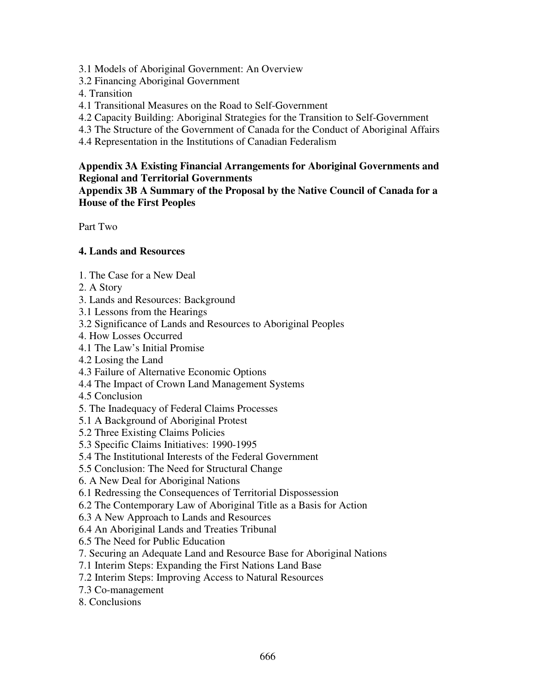3.1 Models of Aboriginal Government: An Overview

3.2 Financing Aboriginal Government

4. Transition

- 4.1 Transitional Measures on the Road to Self-Government
- 4.2 Capacity Building: Aboriginal Strategies for the Transition to Self-Government
- 4.3 The Structure of the Government of Canada for the Conduct of Aboriginal Affairs
- 4.4 Representation in the Institutions of Canadian Federalism

### **Appendix 3A Existing Financial Arrangements for Aboriginal Governments and Regional and Territorial Governments**

**Appendix 3B A Summary of the Proposal by the Native Council of Canada for a House of the First Peoples**

Part Two

## **4. Lands and Resources**

- 1. The Case for a New Deal
- 2. A Story
- 3. Lands and Resources: Background
- 3.1 Lessons from the Hearings
- 3.2 Significance of Lands and Resources to Aboriginal Peoples
- 4. How Losses Occurred
- 4.1 The Law's Initial Promise
- 4.2 Losing the Land
- 4.3 Failure of Alternative Economic Options
- 4.4 The Impact of Crown Land Management Systems
- 4.5 Conclusion
- 5. The Inadequacy of Federal Claims Processes
- 5.1 A Background of Aboriginal Protest
- 5.2 Three Existing Claims Policies
- 5.3 Specific Claims Initiatives: 1990-1995
- 5.4 The Institutional Interests of the Federal Government
- 5.5 Conclusion: The Need for Structural Change
- 6. A New Deal for Aboriginal Nations
- 6.1 Redressing the Consequences of Territorial Dispossession
- 6.2 The Contemporary Law of Aboriginal Title as a Basis for Action
- 6.3 A New Approach to Lands and Resources
- 6.4 An Aboriginal Lands and Treaties Tribunal
- 6.5 The Need for Public Education
- 7. Securing an Adequate Land and Resource Base for Aboriginal Nations
- 7.1 Interim Steps: Expanding the First Nations Land Base
- 7.2 Interim Steps: Improving Access to Natural Resources
- 7.3 Co-management
- 8. Conclusions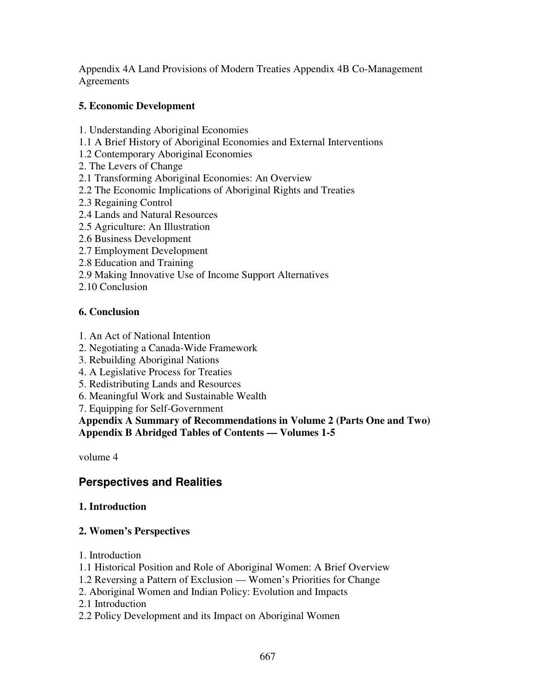Appendix 4A Land Provisions of Modern Treaties Appendix 4B Co-Management **Agreements** 

## **5. Economic Development**

- 1. Understanding Aboriginal Economies
- 1.1 A Brief History of Aboriginal Economies and External Interventions
- 1.2 Contemporary Aboriginal Economies
- 2. The Levers of Change
- 2.1 Transforming Aboriginal Economies: An Overview
- 2.2 The Economic Implications of Aboriginal Rights and Treaties
- 2.3 Regaining Control
- 2.4 Lands and Natural Resources
- 2.5 Agriculture: An Illustration
- 2.6 Business Development
- 2.7 Employment Development
- 2.8 Education and Training
- 2.9 Making Innovative Use of Income Support Alternatives
- 2.10 Conclusion

## **6. Conclusion**

- 1. An Act of National Intention
- 2. Negotiating a Canada-Wide Framework
- 3. Rebuilding Aboriginal Nations
- 4. A Legislative Process for Treaties
- 5. Redistributing Lands and Resources
- 6. Meaningful Work and Sustainable Wealth
- 7. Equipping for Self-Government

**Appendix A Summary of Recommendations in Volume 2 (Parts One and Two) Appendix B Abridged Tables of Contents — Volumes 1-5**

volume 4

# **Perspectives and Realities**

## **1. Introduction**

## **2. Women's Perspectives**

1. Introduction

- 1.1 Historical Position and Role of Aboriginal Women: A Brief Overview
- 1.2 Reversing a Pattern of Exclusion Women's Priorities for Change
- 2. Aboriginal Women and Indian Policy: Evolution and Impacts
- 2.1 Introduction
- 2.2 Policy Development and its Impact on Aboriginal Women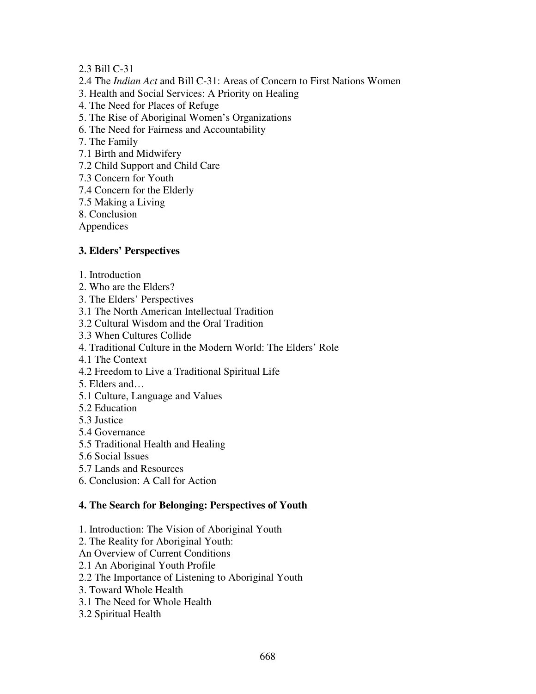### 2.3 Bill C-31

- 2.4 The *Indian Act* and Bill C-31: Areas of Concern to First Nations Women
- 3. Health and Social Services: A Priority on Healing
- 4. The Need for Places of Refuge
- 5. The Rise of Aboriginal Women's Organizations
- 6. The Need for Fairness and Accountability
- 7. The Family
- 7.1 Birth and Midwifery
- 7.2 Child Support and Child Care
- 7.3 Concern for Youth
- 7.4 Concern for the Elderly
- 7.5 Making a Living
- 8. Conclusion
- Appendices

## **3. Elders' Perspectives**

- 1. Introduction
- 2. Who are the Elders?
- 3. The Elders' Perspectives
- 3.1 The North American Intellectual Tradition
- 3.2 Cultural Wisdom and the Oral Tradition
- 3.3 When Cultures Collide
- 4. Traditional Culture in the Modern World: The Elders' Role
- 4.1 The Context
- 4.2 Freedom to Live a Traditional Spiritual Life
- 5. Elders and…
- 5.1 Culture, Language and Values
- 5.2 Education
- 5.3 Justice
- 5.4 Governance
- 5.5 Traditional Health and Healing
- 5.6 Social Issues
- 5.7 Lands and Resources
- 6. Conclusion: A Call for Action

#### **4. The Search for Belonging: Perspectives of Youth**

- 1. Introduction: The Vision of Aboriginal Youth
- 2. The Reality for Aboriginal Youth:
- An Overview of Current Conditions
- 2.1 An Aboriginal Youth Profile
- 2.2 The Importance of Listening to Aboriginal Youth
- 3. Toward Whole Health
- 3.1 The Need for Whole Health
- 3.2 Spiritual Health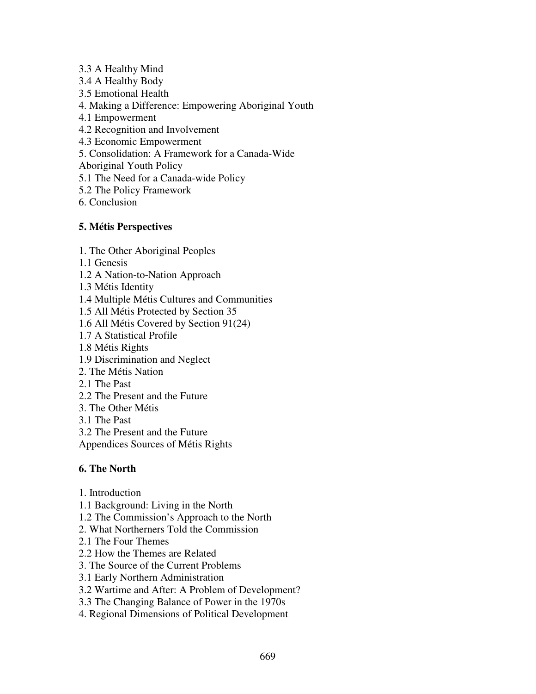3.3 A Healthy Mind

3.4 A Healthy Body

3.5 Emotional Health

4. Making a Difference: Empowering Aboriginal Youth

4.1 Empowerment

4.2 Recognition and Involvement

4.3 Economic Empowerment

5. Consolidation: A Framework for a Canada-Wide

Aboriginal Youth Policy

5.1 The Need for a Canada-wide Policy

5.2 The Policy Framework

6. Conclusion

## **5. Métis Perspectives**

1. The Other Aboriginal Peoples

1.1 Genesis

1.2 A Nation-to-Nation Approach

1.3 Métis Identity

1.4 Multiple Métis Cultures and Communities

1.5 All Métis Protected by Section 35

1.6 All Métis Covered by Section 91(24)

- 1.7 A Statistical Profile
- 1.8 Métis Rights
- 1.9 Discrimination and Neglect
- 2. The Métis Nation
- 2.1 The Past
- 2.2 The Present and the Future
- 3. The Other Métis
- 3.1 The Past

3.2 The Present and the Future

Appendices Sources of Métis Rights

## **6. The North**

- 1. Introduction
- 1.1 Background: Living in the North
- 1.2 The Commission's Approach to the North
- 2. What Northerners Told the Commission
- 2.1 The Four Themes
- 2.2 How the Themes are Related
- 3. The Source of the Current Problems
- 3.1 Early Northern Administration
- 3.2 Wartime and After: A Problem of Development?
- 3.3 The Changing Balance of Power in the 1970s
- 4. Regional Dimensions of Political Development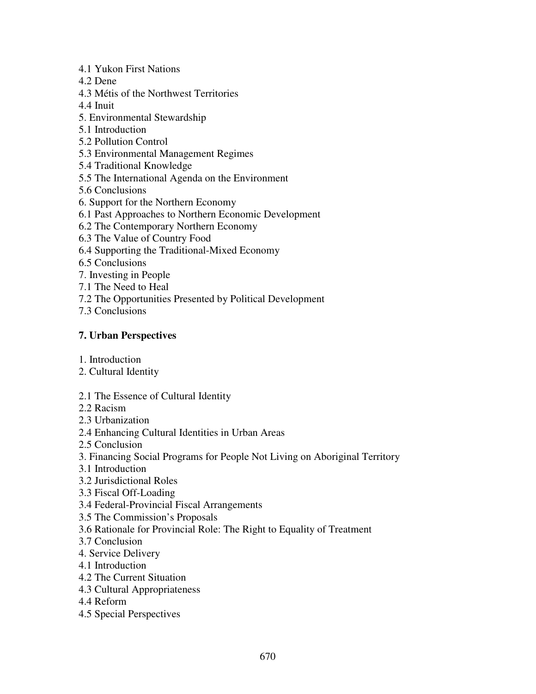- 4.1 Yukon First Nations
- 4.2 Dene
- 4.3 Métis of the Northwest Territories
- 4.4 Inuit
- 5. Environmental Stewardship
- 5.1 Introduction
- 5.2 Pollution Control
- 5.3 Environmental Management Regimes
- 5.4 Traditional Knowledge
- 5.5 The International Agenda on the Environment
- 5.6 Conclusions
- 6. Support for the Northern Economy
- 6.1 Past Approaches to Northern Economic Development
- 6.2 The Contemporary Northern Economy
- 6.3 The Value of Country Food
- 6.4 Supporting the Traditional-Mixed Economy
- 6.5 Conclusions
- 7. Investing in People
- 7.1 The Need to Heal
- 7.2 The Opportunities Presented by Political Development
- 7.3 Conclusions

### **7. Urban Perspectives**

- 1. Introduction
- 2. Cultural Identity
- 2.1 The Essence of Cultural Identity
- 2.2 Racism
- 2.3 Urbanization
- 2.4 Enhancing Cultural Identities in Urban Areas
- 2.5 Conclusion
- 3. Financing Social Programs for People Not Living on Aboriginal Territory
- 3.1 Introduction
- 3.2 Jurisdictional Roles
- 3.3 Fiscal Off-Loading
- 3.4 Federal-Provincial Fiscal Arrangements
- 3.5 The Commission's Proposals
- 3.6 Rationale for Provincial Role: The Right to Equality of Treatment
- 3.7 Conclusion
- 4. Service Delivery
- 4.1 Introduction
- 4.2 The Current Situation
- 4.3 Cultural Appropriateness
- 4.4 Reform
- 4.5 Special Perspectives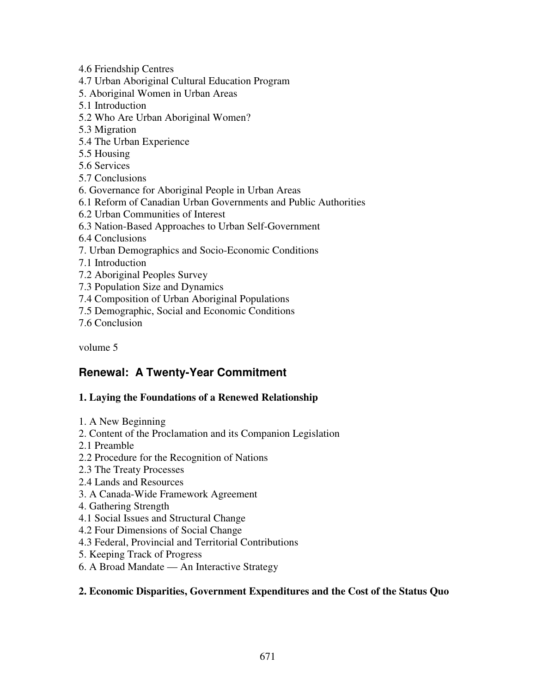4.6 Friendship Centres

4.7 Urban Aboriginal Cultural Education Program

- 5. Aboriginal Women in Urban Areas
- 5.1 Introduction
- 5.2 Who Are Urban Aboriginal Women?
- 5.3 Migration
- 5.4 The Urban Experience
- 5.5 Housing
- 5.6 Services
- 5.7 Conclusions
- 6. Governance for Aboriginal People in Urban Areas
- 6.1 Reform of Canadian Urban Governments and Public Authorities
- 6.2 Urban Communities of Interest
- 6.3 Nation-Based Approaches to Urban Self-Government
- 6.4 Conclusions
- 7. Urban Demographics and Socio-Economic Conditions
- 7.1 Introduction
- 7.2 Aboriginal Peoples Survey
- 7.3 Population Size and Dynamics
- 7.4 Composition of Urban Aboriginal Populations
- 7.5 Demographic, Social and Economic Conditions
- 7.6 Conclusion

volume 5

# **Renewal: A Twenty-Year Commitment**

## **1. Laying the Foundations of a Renewed Relationship**

- 1. A New Beginning
- 2. Content of the Proclamation and its Companion Legislation
- 2.1 Preamble
- 2.2 Procedure for the Recognition of Nations
- 2.3 The Treaty Processes
- 2.4 Lands and Resources
- 3. A Canada-Wide Framework Agreement
- 4. Gathering Strength
- 4.1 Social Issues and Structural Change
- 4.2 Four Dimensions of Social Change
- 4.3 Federal, Provincial and Territorial Contributions
- 5. Keeping Track of Progress
- 6. A Broad Mandate An Interactive Strategy

#### **2. Economic Disparities, Government Expenditures and the Cost of the Status Quo**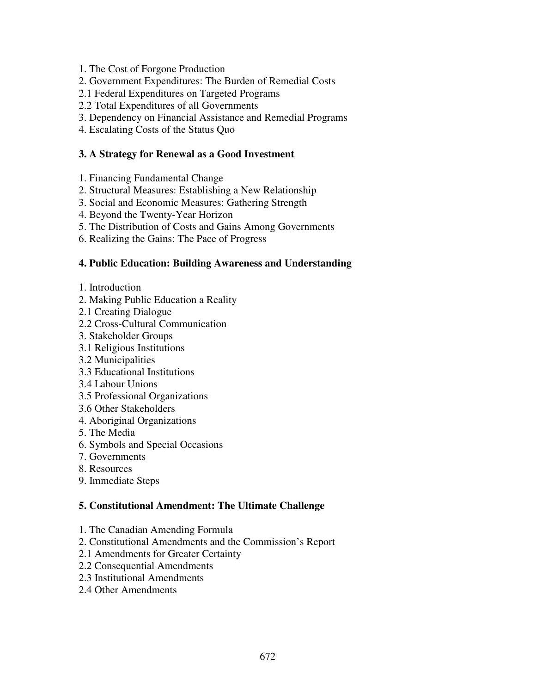- 1. The Cost of Forgone Production
- 2. Government Expenditures: The Burden of Remedial Costs
- 2.1 Federal Expenditures on Targeted Programs
- 2.2 Total Expenditures of all Governments
- 3. Dependency on Financial Assistance and Remedial Programs
- 4. Escalating Costs of the Status Quo

### **3. A Strategy for Renewal as a Good Investment**

- 1. Financing Fundamental Change
- 2. Structural Measures: Establishing a New Relationship
- 3. Social and Economic Measures: Gathering Strength
- 4. Beyond the Twenty-Year Horizon
- 5. The Distribution of Costs and Gains Among Governments
- 6. Realizing the Gains: The Pace of Progress

### **4. Public Education: Building Awareness and Understanding**

- 1. Introduction
- 2. Making Public Education a Reality
- 2.1 Creating Dialogue
- 2.2 Cross-Cultural Communication
- 3. Stakeholder Groups
- 3.1 Religious Institutions
- 3.2 Municipalities
- 3.3 Educational Institutions
- 3.4 Labour Unions
- 3.5 Professional Organizations
- 3.6 Other Stakeholders
- 4. Aboriginal Organizations
- 5. The Media
- 6. Symbols and Special Occasions
- 7. Governments
- 8. Resources
- 9. Immediate Steps

#### **5. Constitutional Amendment: The Ultimate Challenge**

- 1. The Canadian Amending Formula
- 2. Constitutional Amendments and the Commission's Report
- 2.1 Amendments for Greater Certainty
- 2.2 Consequential Amendments
- 2.3 Institutional Amendments
- 2.4 Other Amendments